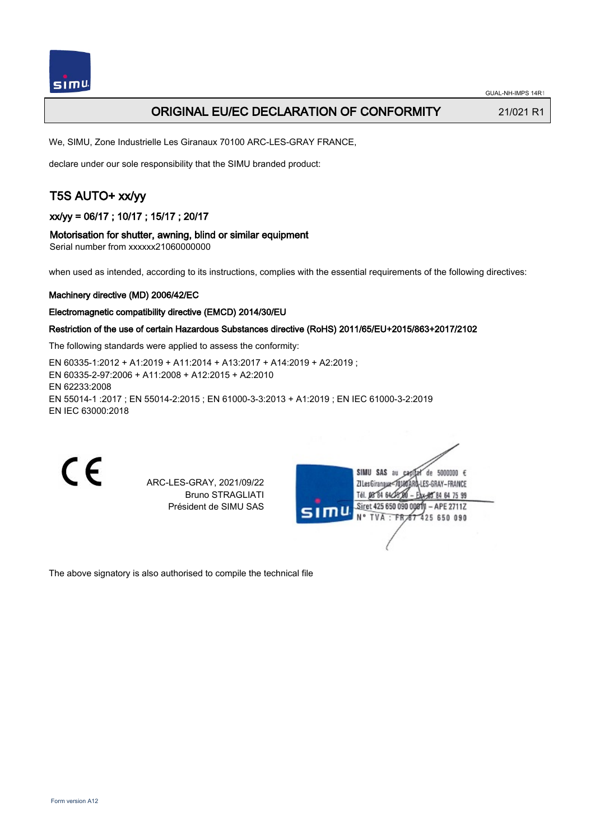

# ORIGINAL EU/EC DECLARATION OF CONFORMITY 21/021 R1

We, SIMU, Zone Industrielle Les Giranaux 70100 ARC-LES-GRAY FRANCE,

declare under our sole responsibility that the SIMU branded product:

# T5S AUTO+ xx/yy

xx/yy = 06/17 ; 10/17 ; 15/17 ; 20/17

#### Motorisation for shutter, awning, blind or similar equipment

Serial number from xxxxxx21060000000

when used as intended, according to its instructions, complies with the essential requirements of the following directives:

#### Machinery directive (MD) 2006/42/EC

#### Electromagnetic compatibility directive (EMCD) 2014/30/EU

## Restriction of the use of certain Hazardous Substances directive (RoHS) 2011/65/EU+2015/863+2017/2102

The following standards were applied to assess the conformity:

EN 60335‑1:2012 + A1:2019 + A11:2014 + A13:2017 + A14:2019 + A2:2019 ; EN 60335‑2‑97:2006 + A11:2008 + A12:2015 + A2:2010 EN 62233:2008 EN 55014‑1 :2017 ; EN 55014‑2:2015 ; EN 61000‑3‑3:2013 + A1:2019 ; EN IEC 61000‑3‑2:2019 EN IEC 63000:2018

C E

ARC-LES-GRAY, 2021/09/22 Bruno STRAGLIATI Président de SIMU SAS

ue 242 IIMI2 de 5000000  $\epsilon$ ZI Les Giranaux</D180AF -LES-GRAY-FRANCE Tél. 08 84 64 28 64 75 99 Siret 425 650 090 00811  $-$  APE 2711Z  $TVA$   $TPA$ 425 650 090

The above signatory is also authorised to compile the technical file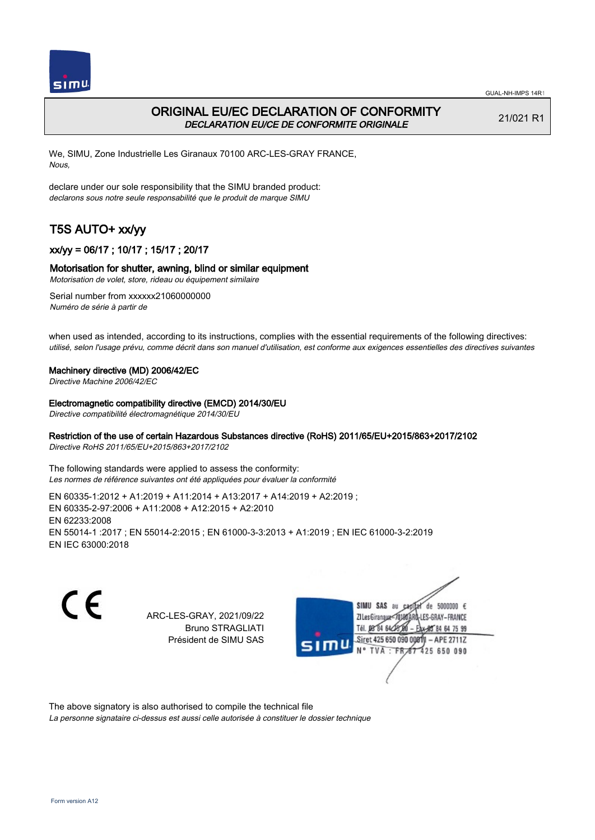

# ORIGINAL EU/EC DECLARATION OF CONFORMITY DECLARATION EU/CE DE CONFORMITE ORIGINALE

21/021 R1

We, SIMU, Zone Industrielle Les Giranaux 70100 ARC-LES-GRAY FRANCE, Nous,

declare under our sole responsibility that the SIMU branded product: declarons sous notre seule responsabilité que le produit de marque SIMU

# T5S AUTO+ xx/yy

## xx/yy = 06/17 ; 10/17 ; 15/17 ; 20/17

## Motorisation for shutter, awning, blind or similar equipment

Motorisation de volet, store, rideau ou équipement similaire

Serial number from xxxxxx21060000000 Numéro de série à partir de

when used as intended, according to its instructions, complies with the essential requirements of the following directives: utilisé, selon l'usage prévu, comme décrit dans son manuel d'utilisation, est conforme aux exigences essentielles des directives suivantes

#### Machinery directive (MD) 2006/42/EC

Directive Machine 2006/42/EC

#### Electromagnetic compatibility directive (EMCD) 2014/30/EU

Directive compatibilité électromagnétique 2014/30/EU

## Restriction of the use of certain Hazardous Substances directive (RoHS) 2011/65/EU+2015/863+2017/2102

Directive RoHS 2011/65/EU+2015/863+2017/2102

The following standards were applied to assess the conformity: Les normes de référence suivantes ont été appliquées pour évaluer la conformité

EN 60335‑1:2012 + A1:2019 + A11:2014 + A13:2017 + A14:2019 + A2:2019 ; EN 60335‑2‑97:2006 + A11:2008 + A12:2015 + A2:2010 EN 62233:2008 EN 55014‑1 :2017 ; EN 55014‑2:2015 ; EN 61000‑3‑3:2013 + A1:2019 ; EN IEC 61000‑3‑2:2019 EN IEC 63000:2018

C E

ARC-LES-GRAY, 2021/09/22 Bruno STRAGLIATI Président de SIMU SAS



The above signatory is also authorised to compile the technical file

La personne signataire ci-dessus est aussi celle autorisée à constituer le dossier technique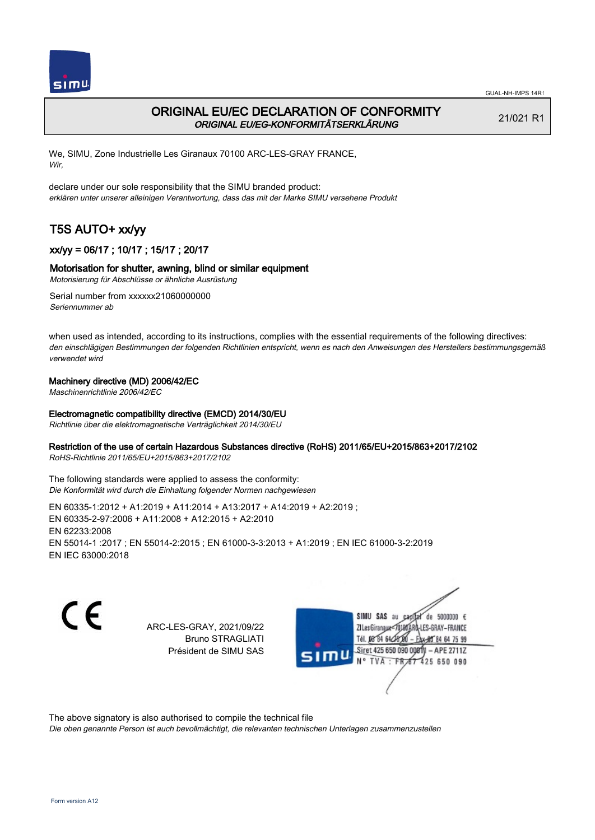

# ORIGINAL EU/EC DECLARATION OF CONFORMITY ORIGINAL EU/EG-KONFORMITÄTSERKLÄRUNG

21/021 R1

We, SIMU, Zone Industrielle Les Giranaux 70100 ARC-LES-GRAY FRANCE, Wir,

declare under our sole responsibility that the SIMU branded product: erklären unter unserer alleinigen Verantwortung, dass das mit der Marke SIMU versehene Produkt

# T5S AUTO+ xx/yy

## xx/yy = 06/17 ; 10/17 ; 15/17 ; 20/17

## Motorisation for shutter, awning, blind or similar equipment

Motorisierung für Abschlüsse or ähnliche Ausrüstung

Serial number from xxxxxx21060000000 Seriennummer ab

when used as intended, according to its instructions, complies with the essential requirements of the following directives: den einschlägigen Bestimmungen der folgenden Richtlinien entspricht, wenn es nach den Anweisungen des Herstellers bestimmungsgemäß verwendet wird

#### Machinery directive (MD) 2006/42/EC

Maschinenrichtlinie 2006/42/EC

#### Electromagnetic compatibility directive (EMCD) 2014/30/EU

Richtlinie über die elektromagnetische Verträglichkeit 2014/30/EU

#### Restriction of the use of certain Hazardous Substances directive (RoHS) 2011/65/EU+2015/863+2017/2102

RoHS-Richtlinie 2011/65/EU+2015/863+2017/2102

The following standards were applied to assess the conformity: Die Konformität wird durch die Einhaltung folgender Normen nachgewiesen

EN 60335‑1:2012 + A1:2019 + A11:2014 + A13:2017 + A14:2019 + A2:2019 ; EN 60335‑2‑97:2006 + A11:2008 + A12:2015 + A2:2010 EN 62233:2008 EN 55014‑1 :2017 ; EN 55014‑2:2015 ; EN 61000‑3‑3:2013 + A1:2019 ; EN IEC 61000‑3‑2:2019 EN IEC 63000:2018

 $\epsilon$ 

ARC-LES-GRAY, 2021/09/22 Bruno STRAGLIATI Président de SIMU SAS



The above signatory is also authorised to compile the technical file

Die oben genannte Person ist auch bevollmächtigt, die relevanten technischen Unterlagen zusammenzustellen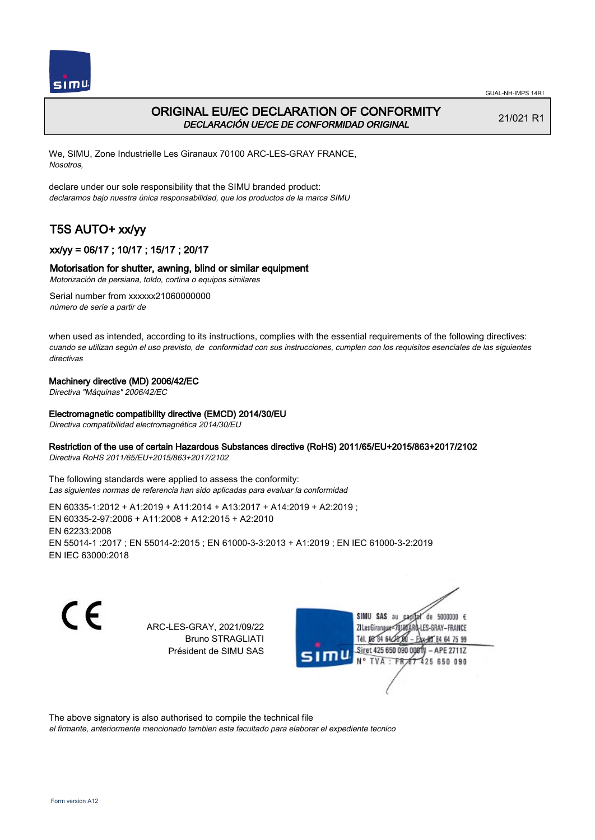



# ORIGINAL EU/EC DECLARATION OF CONFORMITY DECLARACIÓN UE/CE DE CONFORMIDAD ORIGINAL

21/021 R1

We, SIMU, Zone Industrielle Les Giranaux 70100 ARC-LES-GRAY FRANCE, Nosotros,

declare under our sole responsibility that the SIMU branded product: declaramos bajo nuestra única responsabilidad, que los productos de la marca SIMU

# T5S AUTO+ xx/yy

## xx/yy = 06/17 ; 10/17 ; 15/17 ; 20/17

## Motorisation for shutter, awning, blind or similar equipment

Motorización de persiana, toldo, cortina o equipos similares

Serial number from xxxxxx21060000000 número de serie a partir de

when used as intended, according to its instructions, complies with the essential requirements of the following directives: cuando se utilizan según el uso previsto, de conformidad con sus instrucciones, cumplen con los requisitos esenciales de las siguientes directivas

## Machinery directive (MD) 2006/42/EC

Directiva "Máquinas" 2006/42/EC

## Electromagnetic compatibility directive (EMCD) 2014/30/EU

Directiva compatibilidad electromagnética 2014/30/EU

## Restriction of the use of certain Hazardous Substances directive (RoHS) 2011/65/EU+2015/863+2017/2102

Directiva RoHS 2011/65/EU+2015/863+2017/2102

The following standards were applied to assess the conformity: Las siguientes normas de referencia han sido aplicadas para evaluar la conformidad

EN 60335‑1:2012 + A1:2019 + A11:2014 + A13:2017 + A14:2019 + A2:2019 ; EN 60335‑2‑97:2006 + A11:2008 + A12:2015 + A2:2010 EN 62233:2008 EN 55014‑1 :2017 ; EN 55014‑2:2015 ; EN 61000‑3‑3:2013 + A1:2019 ; EN IEC 61000‑3‑2:2019 EN IEC 63000:2018

 $\epsilon$ 

ARC-LES-GRAY, 2021/09/22 Bruno STRAGLIATI Président de SIMU SAS



The above signatory is also authorised to compile the technical file

el firmante, anteriormente mencionado tambien esta facultado para elaborar el expediente tecnico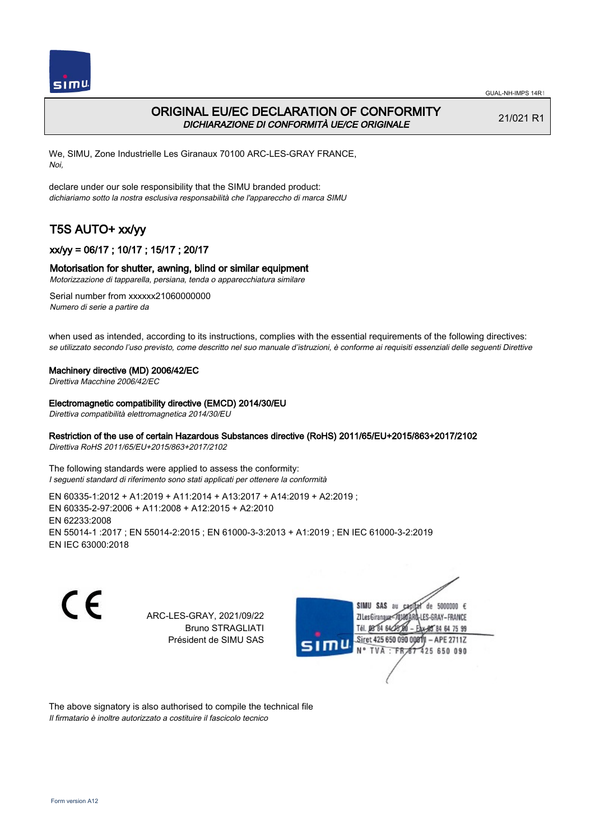

# ORIGINAL EU/EC DECLARATION OF CONFORMITY DICHIARAZIONE DI CONFORMITÀ UE/CE ORIGINALE

21/021 R1

We, SIMU, Zone Industrielle Les Giranaux 70100 ARC-LES-GRAY FRANCE, Noi,

declare under our sole responsibility that the SIMU branded product: dichiariamo sotto la nostra esclusiva responsabilità che l'appareccho di marca SIMU

# T5S AUTO+ xx/yy

## xx/yy = 06/17 ; 10/17 ; 15/17 ; 20/17

#### Motorisation for shutter, awning, blind or similar equipment

Motorizzazione di tapparella, persiana, tenda o apparecchiatura similare

Serial number from xxxxxx21060000000 Numero di serie a partire da

when used as intended, according to its instructions, complies with the essential requirements of the following directives: se utilizzato secondo l'uso previsto, come descritto nel suo manuale d'istruzioni, è conforme ai requisiti essenziali delle seguenti Direttive

#### Machinery directive (MD) 2006/42/EC

Direttiva Macchine 2006/42/EC

#### Electromagnetic compatibility directive (EMCD) 2014/30/EU

Direttiva compatibilità elettromagnetica 2014/30/EU

#### Restriction of the use of certain Hazardous Substances directive (RoHS) 2011/65/EU+2015/863+2017/2102

Direttiva RoHS 2011/65/EU+2015/863+2017/2102

The following standards were applied to assess the conformity: I seguenti standard di riferimento sono stati applicati per ottenere la conformità

EN 60335‑1:2012 + A1:2019 + A11:2014 + A13:2017 + A14:2019 + A2:2019 ; EN 60335‑2‑97:2006 + A11:2008 + A12:2015 + A2:2010 EN 62233:2008 EN 55014‑1 :2017 ; EN 55014‑2:2015 ; EN 61000‑3‑3:2013 + A1:2019 ; EN IEC 61000‑3‑2:2019 EN IEC 63000:2018

C E

ARC-LES-GRAY, 2021/09/22 Bruno STRAGLIATI Président de SIMU SAS



The above signatory is also authorised to compile the technical file Il firmatario è inoltre autorizzato a costituire il fascicolo tecnico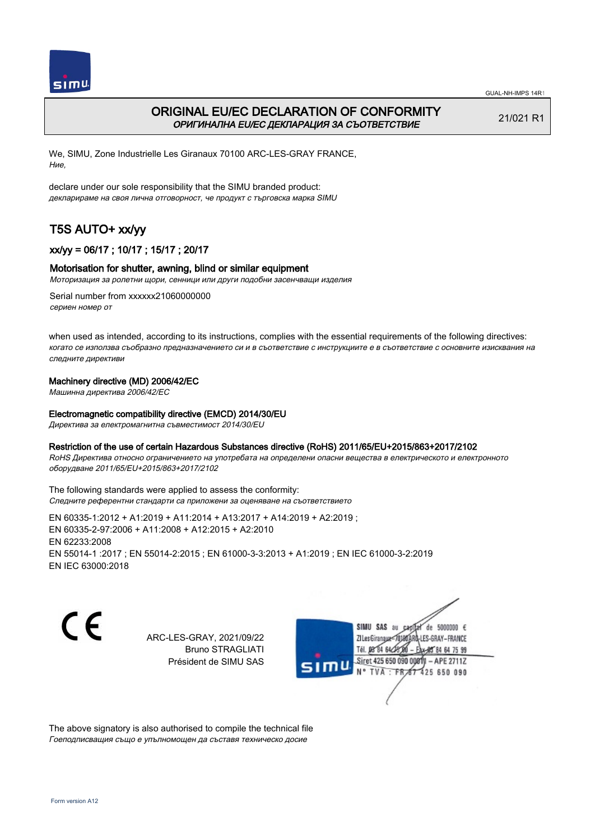

 $simu$ 

GUAL-NH-IMPS 14R1

# ORIGINAL EU/EC DECLARATION OF CONFORMITY ОРИГИНАЛНА EU/EC ДЕКЛАРАЦИЯ ЗА СЪОТВЕТСТВИЕ

21/021 R1

We, SIMU, Zone Industrielle Les Giranaux 70100 ARC-LES-GRAY FRANCE, Ние,

declare under our sole responsibility that the SIMU branded product: декларираме на своя лична отговорност, че продукт с търговска марка SIMU

# T5S AUTO+ xx/yy

## xx/yy = 06/17 ; 10/17 ; 15/17 ; 20/17

## Motorisation for shutter, awning, blind or similar equipment

Моторизация за ролетни щори, сенници или други подобни засенчващи изделия

Serial number from xxxxxx21060000000 сериен номер от

when used as intended, according to its instructions, complies with the essential requirements of the following directives: когато се използва съобразно предназначението си и в съответствие с инструкциите е в съответствие с основните изисквания на следните директиви

## Machinery directive (MD) 2006/42/EC

Машинна директива 2006/42/EC

## Electromagnetic compatibility directive (EMCD) 2014/30/EU

Директива за електромагнитна съвместимост 2014/30/EU

## Restriction of the use of certain Hazardous Substances directive (RoHS) 2011/65/EU+2015/863+2017/2102

RoHS Директива относно ограничението на употребата на определени опасни вещества в електрическото и електронното оборудване 2011/65/EU+2015/863+2017/2102

The following standards were applied to assess the conformity: Следните референтни стандарти са приложени за оценяване на съответствието

EN 60335‑1:2012 + A1:2019 + A11:2014 + A13:2017 + A14:2019 + A2:2019 ; EN 60335‑2‑97:2006 + A11:2008 + A12:2015 + A2:2010 EN 62233:2008 EN 55014‑1 :2017 ; EN 55014‑2:2015 ; EN 61000‑3‑3:2013 + A1:2019 ; EN IEC 61000‑3‑2:2019 EN IEC 63000:2018

C E

ARC-LES-GRAY, 2021/09/22 Bruno STRAGLIATI Président de SIMU SAS

SIMU SAS au  $cardiz$  de 5000000  $\epsilon$ LES-GRAY-FRANCE ZI Les Giranaux</DJ80AF Tél. 08 84 64 28 584 64 75 99 Siret 425 650 090 008TV  $-$  APE 2711Z N° TVA : FRAT 425 650 090

The above signatory is also authorised to compile the technical file Гоеподписващия също е упълномощен да съставя техническо досие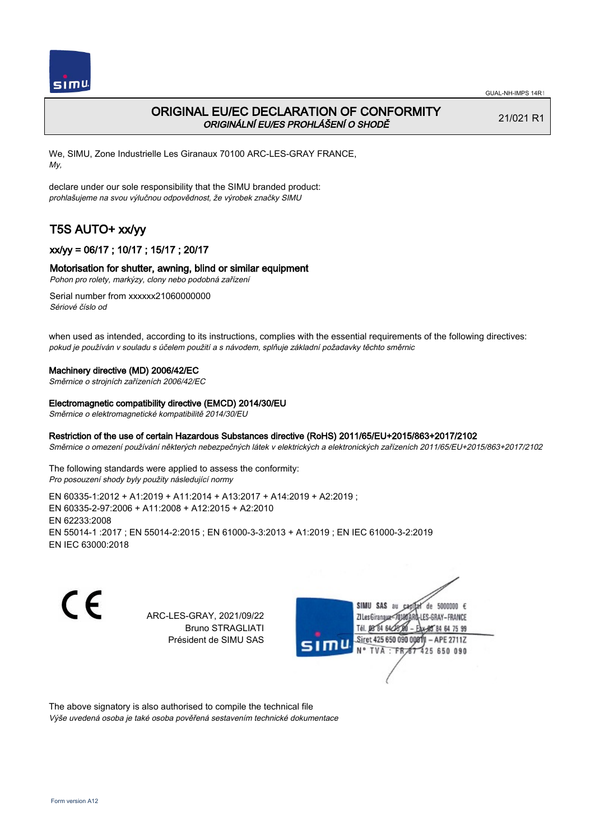

# ORIGINAL EU/EC DECLARATION OF CONFORMITY ORIGINÁLNÍ EU/ES PROHLÁŠENÍ O SHODĚ

21/021 R1

We, SIMU, Zone Industrielle Les Giranaux 70100 ARC-LES-GRAY FRANCE, My,

declare under our sole responsibility that the SIMU branded product: prohlašujeme na svou výlučnou odpovědnost, že výrobek značky SIMU

# T5S AUTO+ xx/yy

## xx/yy = 06/17 ; 10/17 ; 15/17 ; 20/17

## Motorisation for shutter, awning, blind or similar equipment

Pohon pro rolety, markýzy, clony nebo podobná zařízení

Serial number from xxxxxx21060000000 Sériové číslo od

when used as intended, according to its instructions, complies with the essential requirements of the following directives: pokud je používán v souladu s účelem použití a s návodem, splňuje základní požadavky těchto směrnic

#### Machinery directive (MD) 2006/42/EC

Směrnice o strojních zařízeních 2006/42/EC

#### Electromagnetic compatibility directive (EMCD) 2014/30/EU

Směrnice o elektromagnetické kompatibilitě 2014/30/EU

## Restriction of the use of certain Hazardous Substances directive (RoHS) 2011/65/EU+2015/863+2017/2102

Směrnice o omezení používání některých nebezpečných látek v elektrických a elektronických zařízeních 2011/65/EU+2015/863+2017/2102

The following standards were applied to assess the conformity: Pro posouzení shody byly použity následující normy

EN 60335‑1:2012 + A1:2019 + A11:2014 + A13:2017 + A14:2019 + A2:2019 ; EN 60335‑2‑97:2006 + A11:2008 + A12:2015 + A2:2010 EN 62233:2008 EN 55014‑1 :2017 ; EN 55014‑2:2015 ; EN 61000‑3‑3:2013 + A1:2019 ; EN IEC 61000‑3‑2:2019 EN IEC 63000:2018

C E

ARC-LES-GRAY, 2021/09/22 Bruno STRAGLIATI Président de SIMU SAS



The above signatory is also authorised to compile the technical file Výše uvedená osoba je také osoba pověřená sestavením technické dokumentace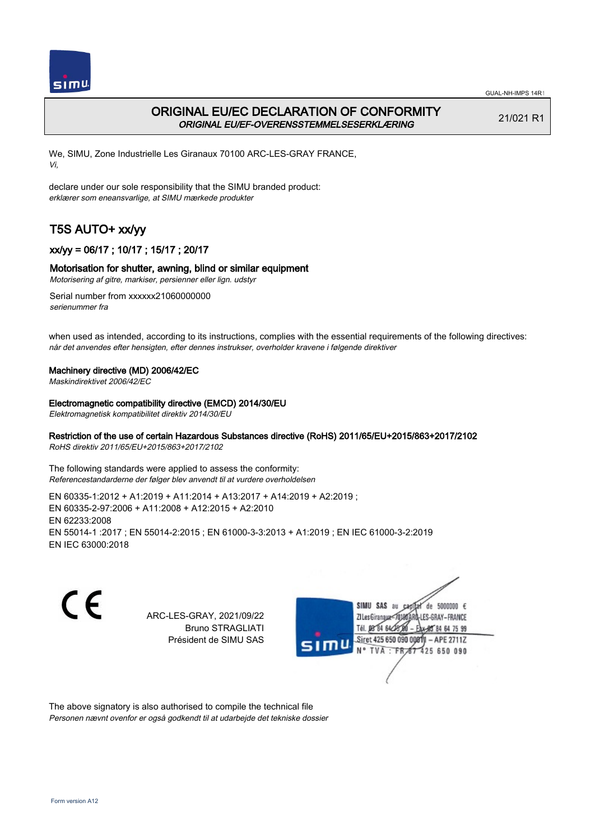

# ORIGINAL EU/EC DECLARATION OF CONFORMITY ORIGINAL EU/EF-OVERENSSTEMMELSESERKLÆRING

21/021 R1

We, SIMU, Zone Industrielle Les Giranaux 70100 ARC-LES-GRAY FRANCE, Vi,

declare under our sole responsibility that the SIMU branded product: erklærer som eneansvarlige, at SIMU mærkede produkter

# T5S AUTO+ xx/yy

## xx/yy = 06/17 ; 10/17 ; 15/17 ; 20/17

## Motorisation for shutter, awning, blind or similar equipment

Motorisering af gitre, markiser, persienner eller lign. udstyr

Serial number from xxxxxx21060000000 serienummer fra

when used as intended, according to its instructions, complies with the essential requirements of the following directives: når det anvendes efter hensigten, efter dennes instrukser, overholder kravene i følgende direktiver

#### Machinery directive (MD) 2006/42/EC

Maskindirektivet 2006/42/EC

#### Electromagnetic compatibility directive (EMCD) 2014/30/EU

Elektromagnetisk kompatibilitet direktiv 2014/30/EU

## Restriction of the use of certain Hazardous Substances directive (RoHS) 2011/65/EU+2015/863+2017/2102

RoHS direktiv 2011/65/EU+2015/863+2017/2102

The following standards were applied to assess the conformity: Referencestandarderne der følger blev anvendt til at vurdere overholdelsen

EN 60335‑1:2012 + A1:2019 + A11:2014 + A13:2017 + A14:2019 + A2:2019 ; EN 60335‑2‑97:2006 + A11:2008 + A12:2015 + A2:2010 EN 62233:2008 EN 55014‑1 :2017 ; EN 55014‑2:2015 ; EN 61000‑3‑3:2013 + A1:2019 ; EN IEC 61000‑3‑2:2019 EN IEC 63000:2018

C E

ARC-LES-GRAY, 2021/09/22 Bruno STRAGLIATI Président de SIMU SAS



The above signatory is also authorised to compile the technical file Personen nævnt ovenfor er også godkendt til at udarbejde det tekniske dossier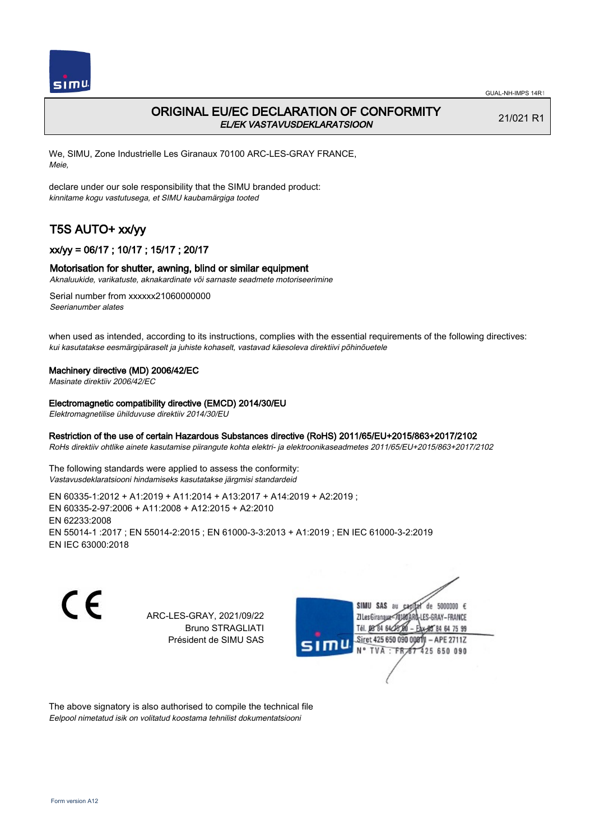

# ORIGINAL EU/EC DECLARATION OF CONFORMITY EL/EK VASTAVUSDEKLARATSIOON

21/021 R1

We, SIMU, Zone Industrielle Les Giranaux 70100 ARC-LES-GRAY FRANCE, Meie,

declare under our sole responsibility that the SIMU branded product: kinnitame kogu vastutusega, et SIMU kaubamärgiga tooted

# T5S AUTO+ xx/yy

## xx/yy = 06/17 ; 10/17 ; 15/17 ; 20/17

#### Motorisation for shutter, awning, blind or similar equipment

Aknaluukide, varikatuste, aknakardinate või sarnaste seadmete motoriseerimine

Serial number from xxxxxx21060000000 Seerianumber alates

when used as intended, according to its instructions, complies with the essential requirements of the following directives: kui kasutatakse eesmärgipäraselt ja juhiste kohaselt, vastavad käesoleva direktiivi põhinõuetele

#### Machinery directive (MD) 2006/42/EC

Masinate direktiiv 2006/42/EC

#### Electromagnetic compatibility directive (EMCD) 2014/30/EU

Elektromagnetilise ühilduvuse direktiiv 2014/30/EU

#### Restriction of the use of certain Hazardous Substances directive (RoHS) 2011/65/EU+2015/863+2017/2102

RoHs direktiiv ohtlike ainete kasutamise piirangute kohta elektri- ja elektroonikaseadmetes 2011/65/EU+2015/863+2017/2102

The following standards were applied to assess the conformity: Vastavusdeklaratsiooni hindamiseks kasutatakse järgmisi standardeid

EN 60335‑1:2012 + A1:2019 + A11:2014 + A13:2017 + A14:2019 + A2:2019 ; EN 60335‑2‑97:2006 + A11:2008 + A12:2015 + A2:2010 EN 62233:2008 EN 55014‑1 :2017 ; EN 55014‑2:2015 ; EN 61000‑3‑3:2013 + A1:2019 ; EN IEC 61000‑3‑2:2019 EN IEC 63000:2018

C E

ARC-LES-GRAY, 2021/09/22 Bruno STRAGLIATI Président de SIMU SAS



The above signatory is also authorised to compile the technical file Eelpool nimetatud isik on volitatud koostama tehnilist dokumentatsiooni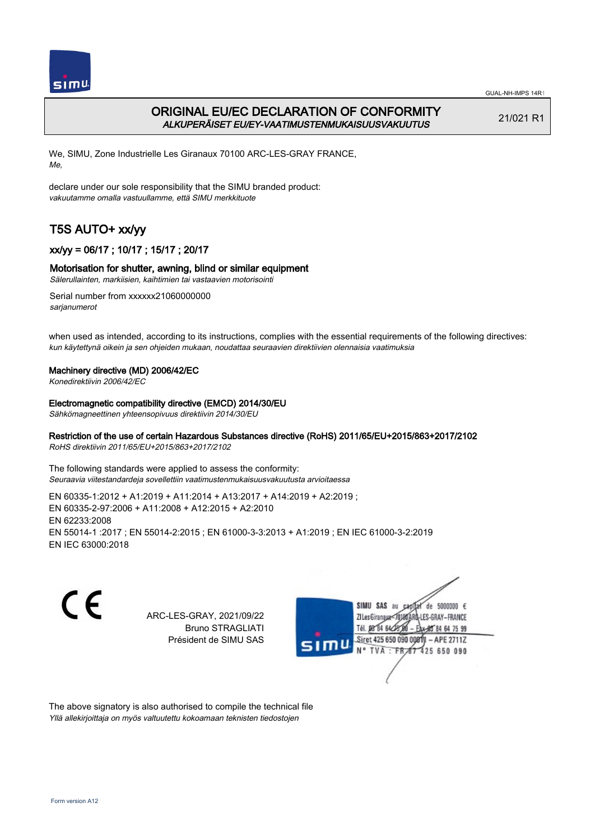

# ORIGINAL EU/EC DECLARATION OF CONFORMITY ALKUPERÄISET EU/EY-VAATIMUSTENMUKAISUUSVAKUUTUS

21/021 R1

We, SIMU, Zone Industrielle Les Giranaux 70100 ARC-LES-GRAY FRANCE, Me,

declare under our sole responsibility that the SIMU branded product: vakuutamme omalla vastuullamme, että SIMU merkkituote

# T5S AUTO+ xx/yy

## xx/yy = 06/17 ; 10/17 ; 15/17 ; 20/17

## Motorisation for shutter, awning, blind or similar equipment

Sälerullainten, markiisien, kaihtimien tai vastaavien motorisointi

Serial number from xxxxxx21060000000 sarjanumerot

when used as intended, according to its instructions, complies with the essential requirements of the following directives: kun käytettynä oikein ja sen ohjeiden mukaan, noudattaa seuraavien direktiivien olennaisia vaatimuksia

## Machinery directive (MD) 2006/42/EC

Konedirektiivin 2006/42/EC

#### Electromagnetic compatibility directive (EMCD) 2014/30/EU

Sähkömagneettinen yhteensopivuus direktiivin 2014/30/EU

## Restriction of the use of certain Hazardous Substances directive (RoHS) 2011/65/EU+2015/863+2017/2102

RoHS direktiivin 2011/65/EU+2015/863+2017/2102

The following standards were applied to assess the conformity: Seuraavia viitestandardeja sovellettiin vaatimustenmukaisuusvakuutusta arvioitaessa

EN 60335‑1:2012 + A1:2019 + A11:2014 + A13:2017 + A14:2019 + A2:2019 ; EN 60335‑2‑97:2006 + A11:2008 + A12:2015 + A2:2010 EN 62233:2008 EN 55014‑1 :2017 ; EN 55014‑2:2015 ; EN 61000‑3‑3:2013 + A1:2019 ; EN IEC 61000‑3‑2:2019 EN IEC 63000:2018



ARC-LES-GRAY, 2021/09/22 Bruno STRAGLIATI Président de SIMU SAS



The above signatory is also authorised to compile the technical file Yllä allekirjoittaja on myös valtuutettu kokoamaan teknisten tiedostojen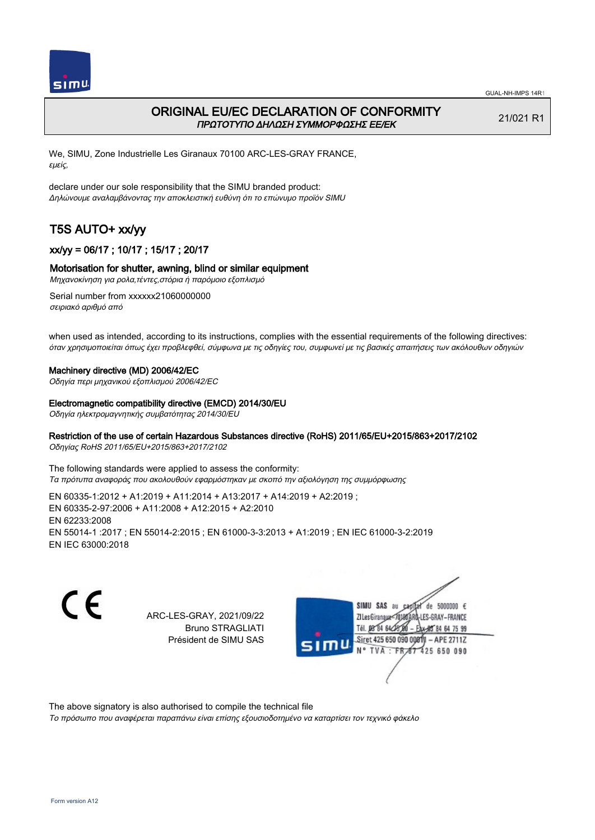

# ORIGINAL EU/EC DECLARATION OF CONFORMITY ΠΡΩΤΟΤΥΠΟ ΔΗΛΩΣΗ ΣΥΜΜΟΡΦΩΣΗΣ ΕΕ/EK

21/021 R1

We, SIMU, Zone Industrielle Les Giranaux 70100 ARC-LES-GRAY FRANCE, εμείς,

declare under our sole responsibility that the SIMU branded product: Δηλώνουμε αναλαμβάνοντας την αποκλειστική ευθύνη ότι το επώνυμο προϊόν SIMU

# T5S AUTO+ xx/yy

## xx/yy = 06/17 ; 10/17 ; 15/17 ; 20/17

#### Motorisation for shutter, awning, blind or similar equipment

Μηχανοκίνηση για ρολα,τέντες,στόρια ή παρόμοιο εξοπλισμό

Serial number from xxxxxx21060000000 σειριακό αριθμό από

when used as intended, according to its instructions, complies with the essential requirements of the following directives: όταν χρησιμοποιείται όπως έχει προβλεφθεί, σύμφωνα με τις οδηγίες του, συμφωνεί με τις βασικές απαιτήσεις των ακόλουθων οδηγιών

#### Machinery directive (MD) 2006/42/EC

Οδηγία περι μηχανικού εξοπλισμού 2006/42/EC

#### Electromagnetic compatibility directive (EMCD) 2014/30/EU

Οδηγία ηλεκτρομαγνητικής συμβατότητας 2014/30/EU

#### Restriction of the use of certain Hazardous Substances directive (RoHS) 2011/65/EU+2015/863+2017/2102

Οδηγίας RoHS 2011/65/EU+2015/863+2017/2102

The following standards were applied to assess the conformity: Τα πρότυπα αναφοράς που ακολουθούν εφαρμόστηκαν με σκοπό την αξιολόγηση της συμμόρφωσης

EN 60335‑1:2012 + A1:2019 + A11:2014 + A13:2017 + A14:2019 + A2:2019 ; EN 60335‑2‑97:2006 + A11:2008 + A12:2015 + A2:2010 EN 62233:2008 EN 55014‑1 :2017 ; EN 55014‑2:2015 ; EN 61000‑3‑3:2013 + A1:2019 ; EN IEC 61000‑3‑2:2019 EN IEC 63000:2018

C E

ARC-LES-GRAY, 2021/09/22 Bruno STRAGLIATI Président de SIMU SAS



The above signatory is also authorised to compile the technical file

Το πρόσωπο που αναφέρεται παραπάνω είναι επίσης εξουσιοδοτημένο να καταρτίσει τον τεχνικό φάκελο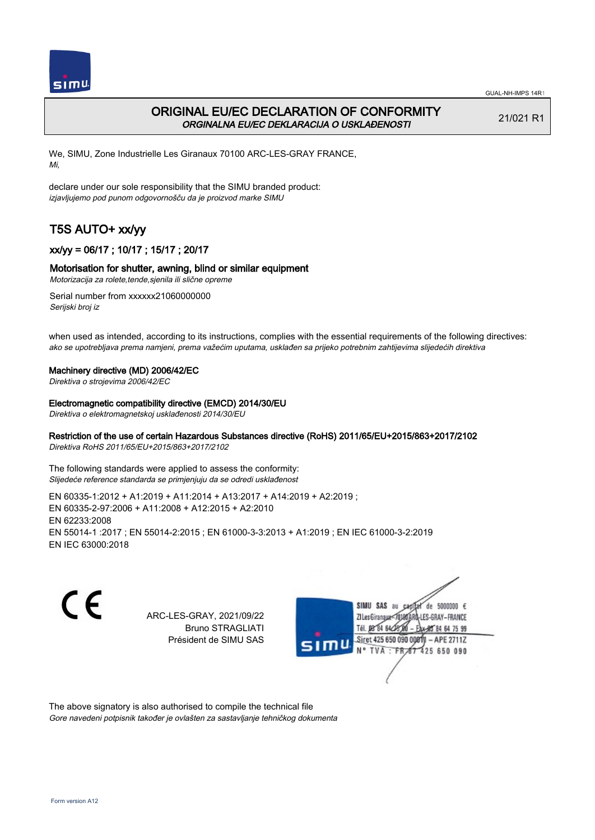

# ORIGINAL EU/EC DECLARATION OF CONFORMITY ORGINALNA EU/EC DEKLARACIJA O USKLAĐENOSTI

21/021 R1

We, SIMU, Zone Industrielle Les Giranaux 70100 ARC-LES-GRAY FRANCE, Mi,

declare under our sole responsibility that the SIMU branded product: izjavljujemo pod punom odgovornošču da je proizvod marke SIMU

# T5S AUTO+ xx/yy

## xx/yy = 06/17 ; 10/17 ; 15/17 ; 20/17

## Motorisation for shutter, awning, blind or similar equipment

Motorizacija za rolete,tende,sjenila ili slične opreme

Serial number from xxxxxx21060000000 Serijski broj iz

when used as intended, according to its instructions, complies with the essential requirements of the following directives: ako se upotrebljava prema namjeni, prema važećim uputama, usklađen sa prijeko potrebnim zahtijevima slijedećih direktiva

#### Machinery directive (MD) 2006/42/EC

Direktiva o strojevima 2006/42/EC

#### Electromagnetic compatibility directive (EMCD) 2014/30/EU

Direktiva o elektromagnetskoj usklađenosti 2014/30/EU

## Restriction of the use of certain Hazardous Substances directive (RoHS) 2011/65/EU+2015/863+2017/2102

Direktiva RoHS 2011/65/EU+2015/863+2017/2102

The following standards were applied to assess the conformity: Slijedeće reference standarda se primjenjuju da se odredi usklađenost

EN 60335‑1:2012 + A1:2019 + A11:2014 + A13:2017 + A14:2019 + A2:2019 ; EN 60335‑2‑97:2006 + A11:2008 + A12:2015 + A2:2010 EN 62233:2008 EN 55014‑1 :2017 ; EN 55014‑2:2015 ; EN 61000‑3‑3:2013 + A1:2019 ; EN IEC 61000‑3‑2:2019 EN IEC 63000:2018

C E

ARC-LES-GRAY, 2021/09/22 Bruno STRAGLIATI Président de SIMU SAS



The above signatory is also authorised to compile the technical file Gore navedeni potpisnik također je ovlašten za sastavljanje tehničkog dokumenta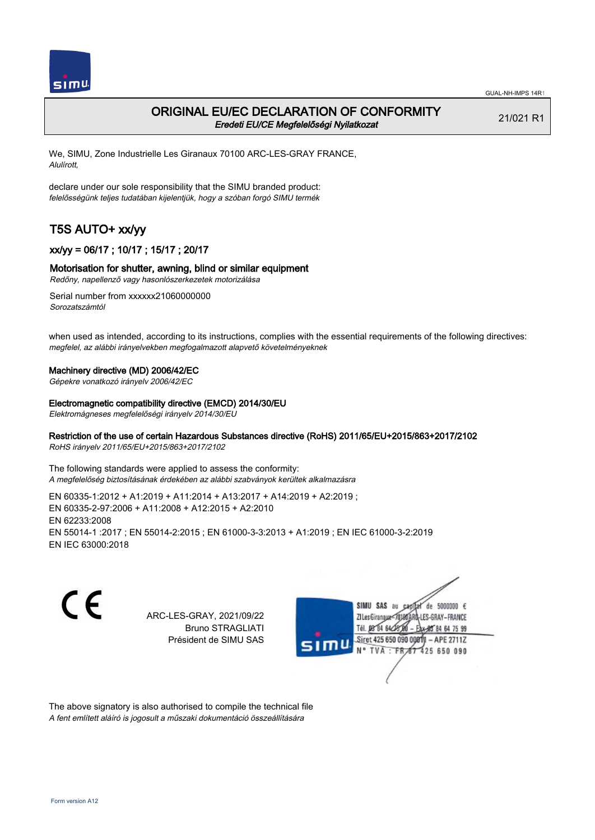

## ORIGINAL EU/EC DECLARATION OF CONFORMITY Eredeti EU/CE Megfelelőségi Nyilatkozat

21/021 R1

We, SIMU, Zone Industrielle Les Giranaux 70100 ARC-LES-GRAY FRANCE, Alulírott,

declare under our sole responsibility that the SIMU branded product: felelősségünk teljes tudatában kijelentjük, hogy a szóban forgó SIMU termék

# T5S AUTO+ xx/yy

## xx/yy = 06/17 ; 10/17 ; 15/17 ; 20/17

## Motorisation for shutter, awning, blind or similar equipment

Redőny, napellenző vagy hasonlószerkezetek motorizálása

Serial number from xxxxxx21060000000 Sorozatszámtól

when used as intended, according to its instructions, complies with the essential requirements of the following directives: megfelel, az alábbi irányelvekben megfogalmazott alapvető követelményeknek

#### Machinery directive (MD) 2006/42/EC

Gépekre vonatkozó irányelv 2006/42/EC

#### Electromagnetic compatibility directive (EMCD) 2014/30/EU

Elektromágneses megfelelőségi irányelv 2014/30/EU

## Restriction of the use of certain Hazardous Substances directive (RoHS) 2011/65/EU+2015/863+2017/2102

RoHS irányelv 2011/65/EU+2015/863+2017/2102

The following standards were applied to assess the conformity: A megfelelőség biztosításának érdekében az alábbi szabványok kerültek alkalmazásra

EN 60335‑1:2012 + A1:2019 + A11:2014 + A13:2017 + A14:2019 + A2:2019 ; EN 60335‑2‑97:2006 + A11:2008 + A12:2015 + A2:2010 EN 62233:2008 EN 55014‑1 :2017 ; EN 55014‑2:2015 ; EN 61000‑3‑3:2013 + A1:2019 ; EN IEC 61000‑3‑2:2019 EN IEC 63000:2018

C E

ARC-LES-GRAY, 2021/09/22 Bruno STRAGLIATI Président de SIMU SAS



The above signatory is also authorised to compile the technical file A fent említett aláíró is jogosult a műszaki dokumentáció összeállítására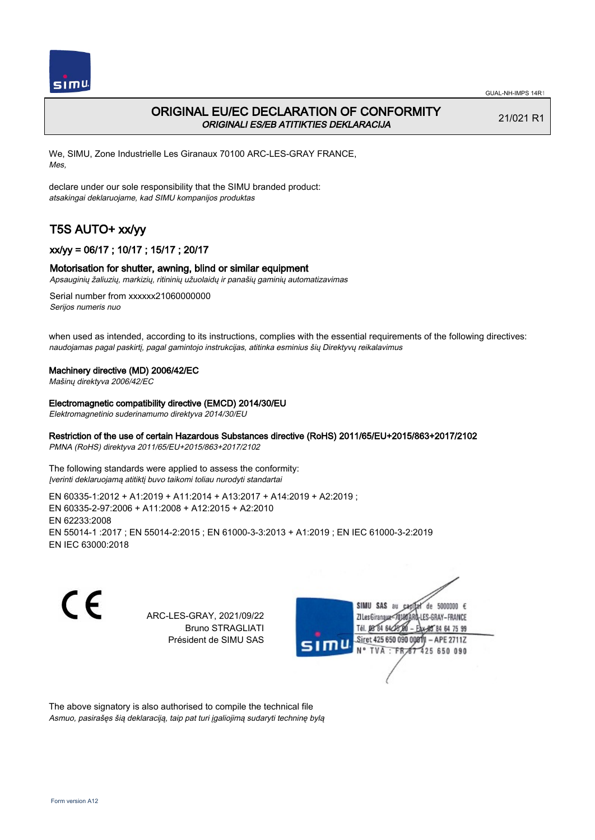

# ORIGINAL EU/EC DECLARATION OF CONFORMITY ORIGINALI ES/EB ATITIKTIES DEKLARACIJA

21/021 R1

We, SIMU, Zone Industrielle Les Giranaux 70100 ARC-LES-GRAY FRANCE, Mes,

declare under our sole responsibility that the SIMU branded product: atsakingai deklaruojame, kad SIMU kompanijos produktas

# T5S AUTO+ xx/yy

## xx/yy = 06/17 ; 10/17 ; 15/17 ; 20/17

#### Motorisation for shutter, awning, blind or similar equipment

Apsauginių žaliuzių, markizių, ritininių užuolaidų ir panašių gaminių automatizavimas

Serial number from xxxxxx21060000000 Serijos numeris nuo

when used as intended, according to its instructions, complies with the essential requirements of the following directives: naudojamas pagal paskirtį, pagal gamintojo instrukcijas, atitinka esminius šių Direktyvų reikalavimus

#### Machinery directive (MD) 2006/42/EC

Mašinų direktyva 2006/42/EC

Electromagnetic compatibility directive (EMCD) 2014/30/EU

Elektromagnetinio suderinamumo direktyva 2014/30/EU

## Restriction of the use of certain Hazardous Substances directive (RoHS) 2011/65/EU+2015/863+2017/2102

PMNA (RoHS) direktyva 2011/65/EU+2015/863+2017/2102

The following standards were applied to assess the conformity: Įverinti deklaruojamą atitiktį buvo taikomi toliau nurodyti standartai

EN 60335‑1:2012 + A1:2019 + A11:2014 + A13:2017 + A14:2019 + A2:2019 ; EN 60335‑2‑97:2006 + A11:2008 + A12:2015 + A2:2010 EN 62233:2008 EN 55014‑1 :2017 ; EN 55014‑2:2015 ; EN 61000‑3‑3:2013 + A1:2019 ; EN IEC 61000‑3‑2:2019 EN IEC 63000:2018

C E

ARC-LES-GRAY, 2021/09/22 Bruno STRAGLIATI Président de SIMU SAS



The above signatory is also authorised to compile the technical file Asmuo, pasirašęs šią deklaraciją, taip pat turi įgaliojimą sudaryti techninę bylą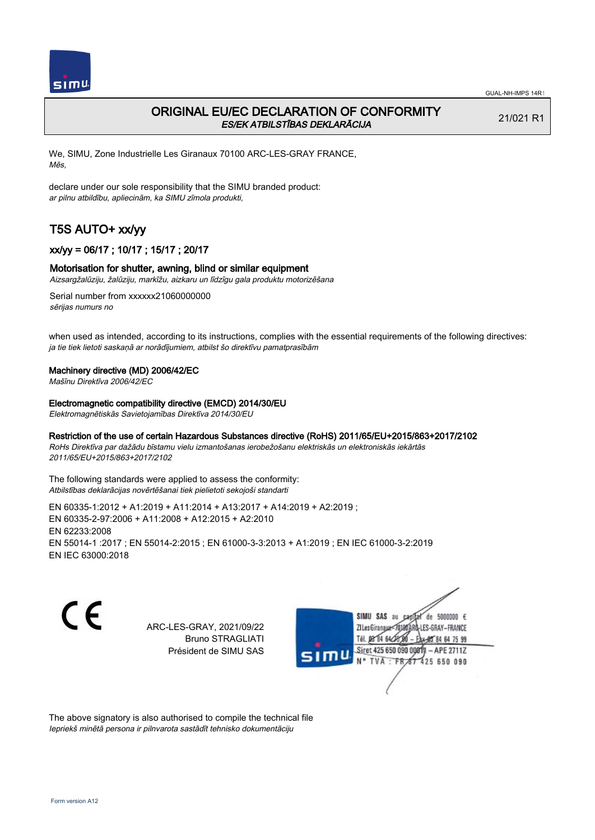

# ORIGINAL EU/EC DECLARATION OF CONFORMITY ES/EK ATBILSTĪBAS DEKLARĀCIJA

21/021 R1

We, SIMU, Zone Industrielle Les Giranaux 70100 ARC-LES-GRAY FRANCE, Mēs,

declare under our sole responsibility that the SIMU branded product: ar pilnu atbildību, apliecinām, ka SIMU zīmola produkti,

# T5S AUTO+ xx/yy

## xx/yy = 06/17 ; 10/17 ; 15/17 ; 20/17

## Motorisation for shutter, awning, blind or similar equipment

Aizsargžalūziju, žalūziju, markīžu, aizkaru un līdzīgu gala produktu motorizēšana

Serial number from xxxxxx21060000000 sērijas numurs no

when used as intended, according to its instructions, complies with the essential requirements of the following directives: ja tie tiek lietoti saskaņā ar norādījumiem, atbilst šo direktīvu pamatprasībām

#### Machinery directive (MD) 2006/42/EC

Mašīnu Direktīva 2006/42/EC

Electromagnetic compatibility directive (EMCD) 2014/30/EU

Elektromagnētiskās Savietojamības Direktīva 2014/30/EU

#### Restriction of the use of certain Hazardous Substances directive (RoHS) 2011/65/EU+2015/863+2017/2102

RoHs Direktīva par dažādu bīstamu vielu izmantošanas ierobežošanu elektriskās un elektroniskās iekārtās 2011/65/EU+2015/863+2017/2102

The following standards were applied to assess the conformity: Atbilstības deklarācijas novērtēšanai tiek pielietoti sekojoši standarti

EN 60335‑1:2012 + A1:2019 + A11:2014 + A13:2017 + A14:2019 + A2:2019 ; EN 60335‑2‑97:2006 + A11:2008 + A12:2015 + A2:2010 EN 62233:2008 EN 55014‑1 :2017 ; EN 55014‑2:2015 ; EN 61000‑3‑3:2013 + A1:2019 ; EN IEC 61000‑3‑2:2019 EN IEC 63000:2018

 $\epsilon$ 

ARC-LES-GRAY, 2021/09/22 Bruno STRAGLIATI Président de SIMU SAS



The above signatory is also authorised to compile the technical file Iepriekš minētā persona ir pilnvarota sastādīt tehnisko dokumentāciju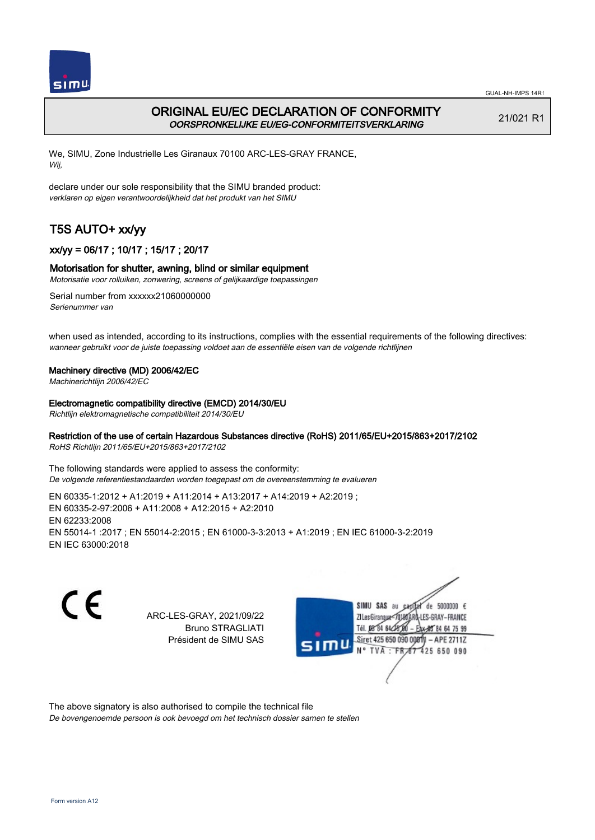

# ORIGINAL EU/EC DECLARATION OF CONFORMITY OORSPRONKELIJKE EU/EG-CONFORMITEITSVERKLARING

21/021 R1

We, SIMU, Zone Industrielle Les Giranaux 70100 ARC-LES-GRAY FRANCE, Wij,

declare under our sole responsibility that the SIMU branded product: verklaren op eigen verantwoordelijkheid dat het produkt van het SIMU

# T5S AUTO+ xx/yy

## xx/yy = 06/17 ; 10/17 ; 15/17 ; 20/17

## Motorisation for shutter, awning, blind or similar equipment

Motorisatie voor rolluiken, zonwering, screens of gelijkaardige toepassingen

Serial number from xxxxxx21060000000 Serienummer van

when used as intended, according to its instructions, complies with the essential requirements of the following directives: wanneer gebruikt voor de juiste toepassing voldoet aan de essentiële eisen van de volgende richtlijnen

## Machinery directive (MD) 2006/42/EC

Machinerichtlijn 2006/42/EC

Electromagnetic compatibility directive (EMCD) 2014/30/EU

Richtlijn elektromagnetische compatibiliteit 2014/30/EU

## Restriction of the use of certain Hazardous Substances directive (RoHS) 2011/65/EU+2015/863+2017/2102

RoHS Richtlijn 2011/65/EU+2015/863+2017/2102

The following standards were applied to assess the conformity: De volgende referentiestandaarden worden toegepast om de overeenstemming te evalueren

EN 60335‑1:2012 + A1:2019 + A11:2014 + A13:2017 + A14:2019 + A2:2019 ; EN 60335‑2‑97:2006 + A11:2008 + A12:2015 + A2:2010 EN 62233:2008 EN 55014‑1 :2017 ; EN 55014‑2:2015 ; EN 61000‑3‑3:2013 + A1:2019 ; EN IEC 61000‑3‑2:2019 EN IEC 63000:2018

C E

ARC-LES-GRAY, 2021/09/22 Bruno STRAGLIATI Président de SIMU SAS



The above signatory is also authorised to compile the technical file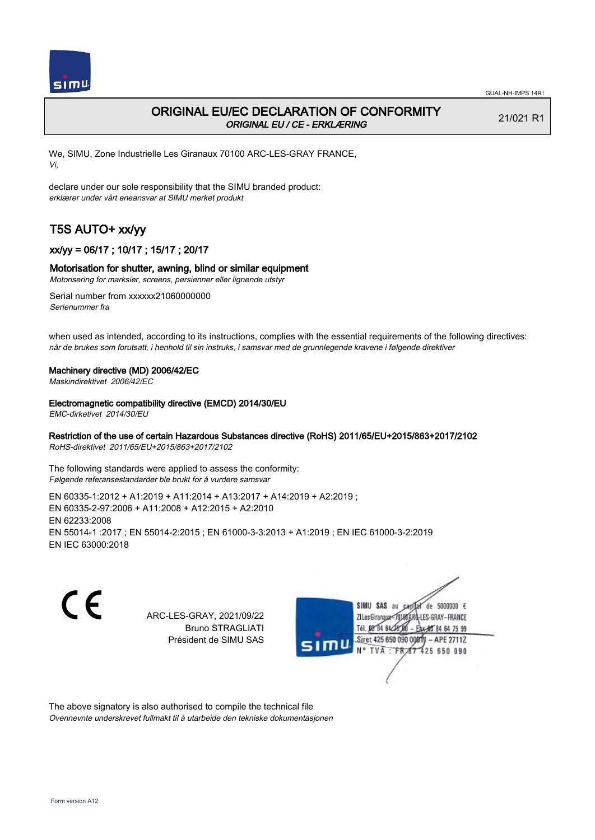

# ORIGINAL EU/EC DECLARATION OF CONFORMITY ORIGINAL EU / CE - ERKLÆRING

21/021 R1

We, SIMU, Zone Industrielle Les Giranaux 70100 ARC-LES-GRAY FRANCE, Vi,

declare under our sole responsibility that the SIMU branded product: erklærer under vårt eneansvar at SIMU merket produkt

# T5S AUTO+ xx/yy

## xx/yy = 06/17 ; 10/17 ; 15/17 ; 20/17

#### Motorisation for shutter, awning, blind or similar equipment

Motorisering for marksier, screens, persienner eller lignende utstyr

Serial number from xxxxxx21060000000 Serienummer fra

when used as intended, according to its instructions, complies with the essential requirements of the following directives: når de brukes som forutsatt, i henhold til sin instruks, i samsvar med de grunnlegende kravene i følgende direktiver

#### Machinery directive (MD) 2006/42/EC

Maskindirektivet 2006/42/EC

#### Electromagnetic compatibility directive (EMCD) 2014/30/EU

EMC-dirketivet 2014/30/EU

## Restriction of the use of certain Hazardous Substances directive (RoHS) 2011/65/EU+2015/863+2017/2102

RoHS-direktivet 2011/65/EU+2015/863+2017/2102

The following standards were applied to assess the conformity: Følgende referansestandarder ble brukt for å vurdere samsvar

EN 60335‑1:2012 + A1:2019 + A11:2014 + A13:2017 + A14:2019 + A2:2019 ; EN 60335‑2‑97:2006 + A11:2008 + A12:2015 + A2:2010 EN 62233:2008 EN 55014‑1 :2017 ; EN 55014‑2:2015 ; EN 61000‑3‑3:2013 + A1:2019 ; EN IEC 61000‑3‑2:2019 EN IEC 63000:2018

C E

ARC-LES-GRAY, 2021/09/22 Bruno STRAGLIATI Président de SIMU SAS



The above signatory is also authorised to compile the technical file Ovennevnte underskrevet fullmakt til å utarbeide den tekniske dokumentasjonen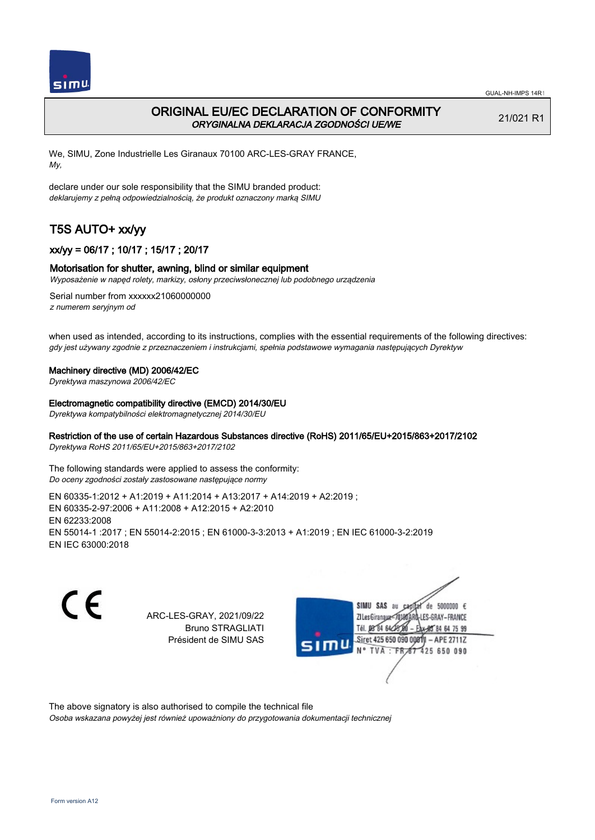

# ORIGINAL EU/EC DECLARATION OF CONFORMITY ORYGINALNA DEKLARACJA ZGODNOŚCI UE/WE

21/021 R1

We, SIMU, Zone Industrielle Les Giranaux 70100 ARC-LES-GRAY FRANCE, My,

declare under our sole responsibility that the SIMU branded product: deklarujemy z pełną odpowiedzialnością, że produkt oznaczony marką SIMU

# T5S AUTO+ xx/yy

## xx/yy = 06/17 ; 10/17 ; 15/17 ; 20/17

#### Motorisation for shutter, awning, blind or similar equipment

Wyposażenie w napęd rolety, markizy, osłony przeciwsłonecznej lub podobnego urządzenia

Serial number from xxxxxx21060000000 z numerem seryjnym od

when used as intended, according to its instructions, complies with the essential requirements of the following directives: gdy jest używany zgodnie z przeznaczeniem i instrukcjami, spełnia podstawowe wymagania następujących Dyrektyw

#### Machinery directive (MD) 2006/42/EC

Dyrektywa maszynowa 2006/42/EC

#### Electromagnetic compatibility directive (EMCD) 2014/30/EU

Dyrektywa kompatybilności elektromagnetycznej 2014/30/EU

## Restriction of the use of certain Hazardous Substances directive (RoHS) 2011/65/EU+2015/863+2017/2102

Dyrektywa RoHS 2011/65/EU+2015/863+2017/2102

The following standards were applied to assess the conformity: Do oceny zgodności zostały zastosowane następujące normy

EN 60335‑1:2012 + A1:2019 + A11:2014 + A13:2017 + A14:2019 + A2:2019 ; EN 60335‑2‑97:2006 + A11:2008 + A12:2015 + A2:2010 EN 62233:2008 EN 55014‑1 :2017 ; EN 55014‑2:2015 ; EN 61000‑3‑3:2013 + A1:2019 ; EN IEC 61000‑3‑2:2019 EN IEC 63000:2018

C E

ARC-LES-GRAY, 2021/09/22 Bruno STRAGLIATI Président de SIMU SAS



The above signatory is also authorised to compile the technical file

Osoba wskazana powyżej jest również upoważniony do przygotowania dokumentacji technicznej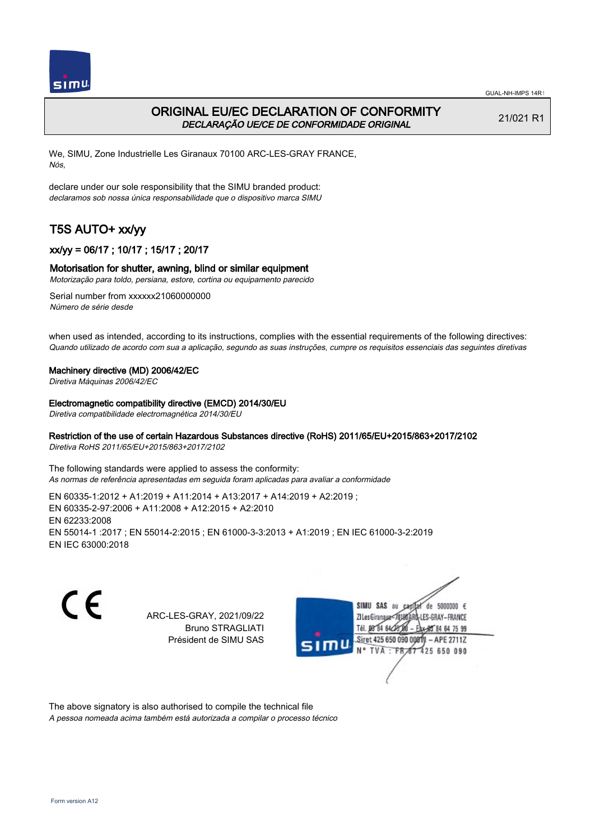

# ORIGINAL EU/EC DECLARATION OF CONFORMITY DECLARAÇÃO UE/CE DE CONFORMIDADE ORIGINAL

21/021 R1

We, SIMU, Zone Industrielle Les Giranaux 70100 ARC-LES-GRAY FRANCE, Nós,

declare under our sole responsibility that the SIMU branded product: declaramos sob nossa única responsabilidade que o dispositivo marca SIMU

# T5S AUTO+ xx/yy

## xx/yy = 06/17 ; 10/17 ; 15/17 ; 20/17

## Motorisation for shutter, awning, blind or similar equipment

Motorização para toldo, persiana, estore, cortina ou equipamento parecido

Serial number from xxxxxx21060000000 Número de série desde

when used as intended, according to its instructions, complies with the essential requirements of the following directives: Quando utilizado de acordo com sua a aplicação, segundo as suas instruções, cumpre os requisitos essenciais das seguintes diretivas

#### Machinery directive (MD) 2006/42/EC

Diretiva Máquinas 2006/42/EC

Electromagnetic compatibility directive (EMCD) 2014/30/EU

Diretiva compatibilidade electromagnética 2014/30/EU

#### Restriction of the use of certain Hazardous Substances directive (RoHS) 2011/65/EU+2015/863+2017/2102

Diretiva RoHS 2011/65/EU+2015/863+2017/2102

The following standards were applied to assess the conformity: As normas de referência apresentadas em seguida foram aplicadas para avaliar a conformidade

EN 60335‑1:2012 + A1:2019 + A11:2014 + A13:2017 + A14:2019 + A2:2019 ; EN 60335‑2‑97:2006 + A11:2008 + A12:2015 + A2:2010 EN 62233:2008 EN 55014‑1 :2017 ; EN 55014‑2:2015 ; EN 61000‑3‑3:2013 + A1:2019 ; EN IEC 61000‑3‑2:2019 EN IEC 63000:2018

C E

ARC-LES-GRAY, 2021/09/22 Bruno STRAGLIATI Président de SIMU SAS



The above signatory is also authorised to compile the technical file

A pessoa nomeada acima também está autorizada a compilar o processo técnico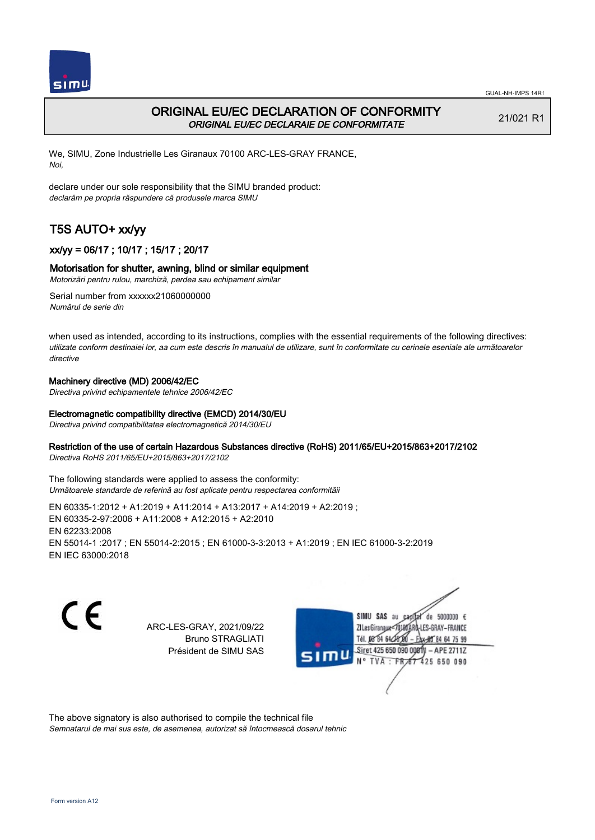

# ORIGINAL EU/EC DECLARATION OF CONFORMITY ORIGINAL EU/EC DECLARAIE DE CONFORMITATE

21/021 R1

We, SIMU, Zone Industrielle Les Giranaux 70100 ARC-LES-GRAY FRANCE, Noi,

declare under our sole responsibility that the SIMU branded product: declarăm pe propria răspundere că produsele marca SIMU

# T5S AUTO+ xx/yy

## xx/yy = 06/17 ; 10/17 ; 15/17 ; 20/17

## Motorisation for shutter, awning, blind or similar equipment

Motorizări pentru rulou, marchiză, perdea sau echipament similar

Serial number from xxxxxx21060000000 Numărul de serie din

when used as intended, according to its instructions, complies with the essential requirements of the following directives: utilizate conform destinaiei lor, aa cum este descris în manualul de utilizare, sunt în conformitate cu cerinele eseniale ale următoarelor directive

## Machinery directive (MD) 2006/42/EC

Directiva privind echipamentele tehnice 2006/42/EC

## Electromagnetic compatibility directive (EMCD) 2014/30/EU

Directiva privind compatibilitatea electromagnetică 2014/30/EU

## Restriction of the use of certain Hazardous Substances directive (RoHS) 2011/65/EU+2015/863+2017/2102

Directiva RoHS 2011/65/EU+2015/863+2017/2102

The following standards were applied to assess the conformity: Următoarele standarde de referină au fost aplicate pentru respectarea conformităii

EN 60335‑1:2012 + A1:2019 + A11:2014 + A13:2017 + A14:2019 + A2:2019 ; EN 60335‑2‑97:2006 + A11:2008 + A12:2015 + A2:2010 EN 62233:2008 EN 55014‑1 :2017 ; EN 55014‑2:2015 ; EN 61000‑3‑3:2013 + A1:2019 ; EN IEC 61000‑3‑2:2019 EN IEC 63000:2018

CE

ARC-LES-GRAY, 2021/09/22 Bruno STRAGLIATI Président de SIMU SAS



The above signatory is also authorised to compile the technical file

Semnatarul de mai sus este, de asemenea, autorizat să întocmească dosarul tehnic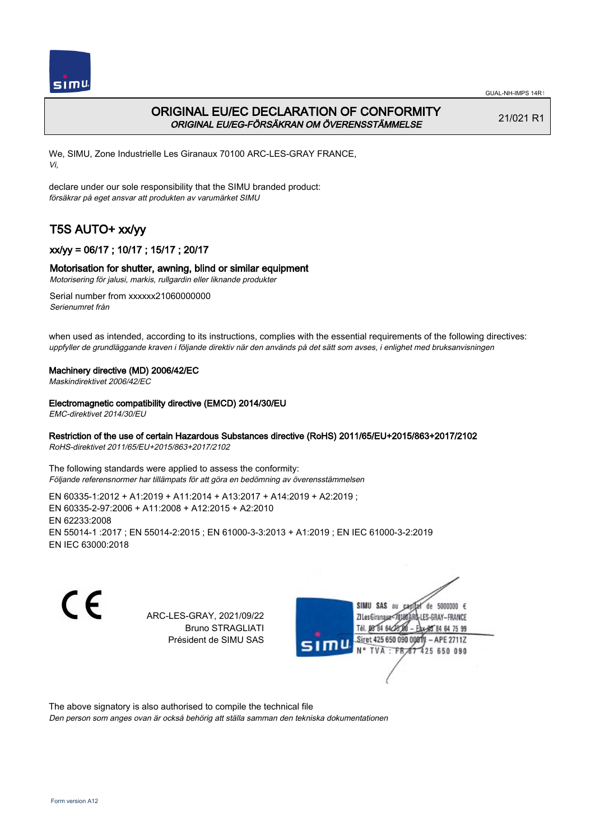

# ORIGINAL EU/EC DECLARATION OF CONFORMITY ORIGINAL EU/EG-FÖRSÄKRAN OM ÖVERENSSTÄMMELSE

21/021 R1

We, SIMU, Zone Industrielle Les Giranaux 70100 ARC-LES-GRAY FRANCE, Vi,

declare under our sole responsibility that the SIMU branded product: försäkrar på eget ansvar att produkten av varumärket SIMU

# T5S AUTO+ xx/yy

## xx/yy = 06/17 ; 10/17 ; 15/17 ; 20/17

## Motorisation for shutter, awning, blind or similar equipment

Motorisering för jalusi, markis, rullgardin eller liknande produkter

Serial number from xxxxxx21060000000 Serienumret från

when used as intended, according to its instructions, complies with the essential requirements of the following directives: uppfyller de grundläggande kraven i följande direktiv när den används på det sätt som avses, i enlighet med bruksanvisningen

#### Machinery directive (MD) 2006/42/EC

Maskindirektivet 2006/42/EC

#### Electromagnetic compatibility directive (EMCD) 2014/30/EU

EMC-direktivet 2014/30/EU

## Restriction of the use of certain Hazardous Substances directive (RoHS) 2011/65/EU+2015/863+2017/2102

RoHS-direktivet 2011/65/EU+2015/863+2017/2102

The following standards were applied to assess the conformity: Följande referensnormer har tillämpats för att göra en bedömning av överensstämmelsen

EN 60335‑1:2012 + A1:2019 + A11:2014 + A13:2017 + A14:2019 + A2:2019 ; EN 60335‑2‑97:2006 + A11:2008 + A12:2015 + A2:2010 EN 62233:2008 EN 55014‑1 :2017 ; EN 55014‑2:2015 ; EN 61000‑3‑3:2013 + A1:2019 ; EN IEC 61000‑3‑2:2019 EN IEC 63000:2018

C E

ARC-LES-GRAY, 2021/09/22 Bruno STRAGLIATI Président de SIMU SAS



The above signatory is also authorised to compile the technical file

Den person som anges ovan är också behörig att ställa samman den tekniska dokumentationen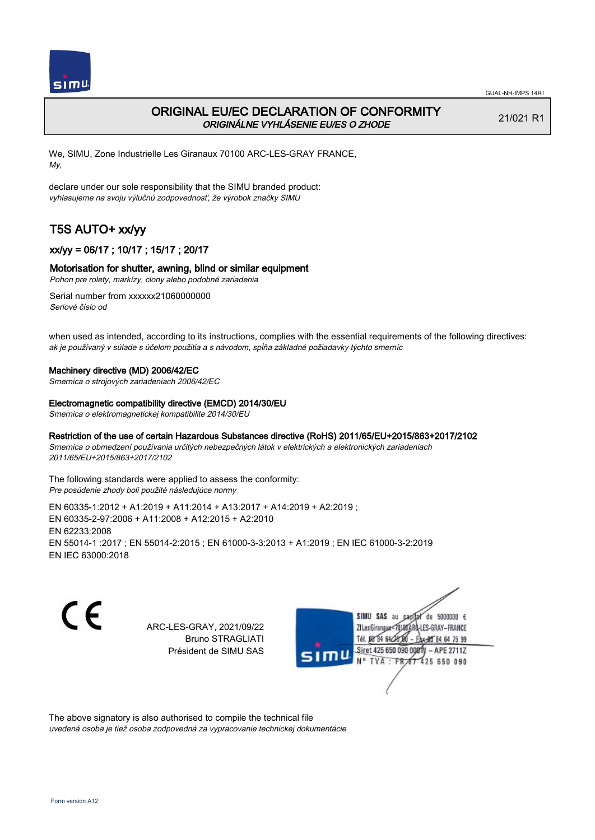

# ORIGINAL EU/EC DECLARATION OF CONFORMITY ORIGINÁLNE VYHLÁSENIE EU/ES O ZHODE

21/021 R1

We, SIMU, Zone Industrielle Les Giranaux 70100 ARC-LES-GRAY FRANCE, My,

declare under our sole responsibility that the SIMU branded product: vyhlasujeme na svoju výlučnú zodpovednosť, že výrobok značky SIMU

# T5S AUTO+ xx/yy

## xx/yy = 06/17 ; 10/17 ; 15/17 ; 20/17

## Motorisation for shutter, awning, blind or similar equipment

Pohon pre rolety, markízy, clony alebo podobné zariadenia

Serial number from xxxxxx21060000000 Seriové číslo od

when used as intended, according to its instructions, complies with the essential requirements of the following directives: ak je používaný v súlade s účelom použitia a s návodom, spĺňa základné požiadavky týchto smerníc

#### Machinery directive (MD) 2006/42/EC

Smernica o strojových zariadeniach 2006/42/EC

#### Electromagnetic compatibility directive (EMCD) 2014/30/EU

Smernica o elektromagnetickej kompatibilite 2014/30/EU

## Restriction of the use of certain Hazardous Substances directive (RoHS) 2011/65/EU+2015/863+2017/2102

Smernica o obmedzení používania určitých nebezpečných látok v elektrických a elektronických zariadeniach 2011/65/EU+2015/863+2017/2102

The following standards were applied to assess the conformity: Pre posúdenie zhody boli použité následujúce normy

EN 60335‑1:2012 + A1:2019 + A11:2014 + A13:2017 + A14:2019 + A2:2019 ; EN 60335‑2‑97:2006 + A11:2008 + A12:2015 + A2:2010 EN 62233:2008 EN 55014‑1 :2017 ; EN 55014‑2:2015 ; EN 61000‑3‑3:2013 + A1:2019 ; EN IEC 61000‑3‑2:2019 EN IEC 63000:2018

CE

ARC-LES-GRAY, 2021/09/22 Bruno STRAGLIATI Président de SIMU SAS



The above signatory is also authorised to compile the technical file

uvedená osoba je tiež osoba zodpovedná za vypracovanie technickej dokumentácie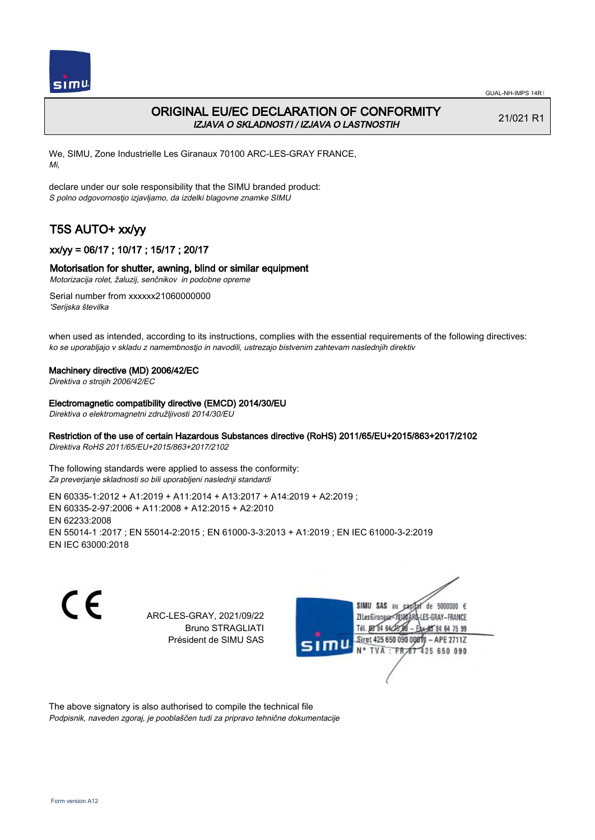

# ORIGINAL EU/EC DECLARATION OF CONFORMITY IZJAVA O SKLADNOSTI / IZJAVA O LASTNOSTIH

21/021 R1

We, SIMU, Zone Industrielle Les Giranaux 70100 ARC-LES-GRAY FRANCE, Mi,

declare under our sole responsibility that the SIMU branded product: S polno odgovornostjo izjavljamo, da izdelki blagovne znamke SIMU

# T5S AUTO+ xx/yy

## xx/yy = 06/17 ; 10/17 ; 15/17 ; 20/17

## Motorisation for shutter, awning, blind or similar equipment

Motorizacija rolet, žaluzij, senčnikov in podobne opreme

Serial number from xxxxxx21060000000 'Serijska številka

when used as intended, according to its instructions, complies with the essential requirements of the following directives: ko se uporabljajo v skladu z namembnostjo in navodili, ustrezajo bistvenim zahtevam naslednjih direktiv

#### Machinery directive (MD) 2006/42/EC

Direktiva o strojih 2006/42/EC

#### Electromagnetic compatibility directive (EMCD) 2014/30/EU

Direktiva o elektromagnetni združljivosti 2014/30/EU

## Restriction of the use of certain Hazardous Substances directive (RoHS) 2011/65/EU+2015/863+2017/2102

Direktiva RoHS 2011/65/EU+2015/863+2017/2102

The following standards were applied to assess the conformity: Za preverjanje skladnosti so bili uporabljeni naslednji standardi

EN 60335‑1:2012 + A1:2019 + A11:2014 + A13:2017 + A14:2019 + A2:2019 ; EN 60335‑2‑97:2006 + A11:2008 + A12:2015 + A2:2010 EN 62233:2008 EN 55014‑1 :2017 ; EN 55014‑2:2015 ; EN 61000‑3‑3:2013 + A1:2019 ; EN IEC 61000‑3‑2:2019 EN IEC 63000:2018

C E

ARC-LES-GRAY, 2021/09/22 Bruno STRAGLIATI Président de SIMU SAS



The above signatory is also authorised to compile the technical file Podpisnik, naveden zgoraj, je pooblaščen tudi za pripravo tehnične dokumentacije